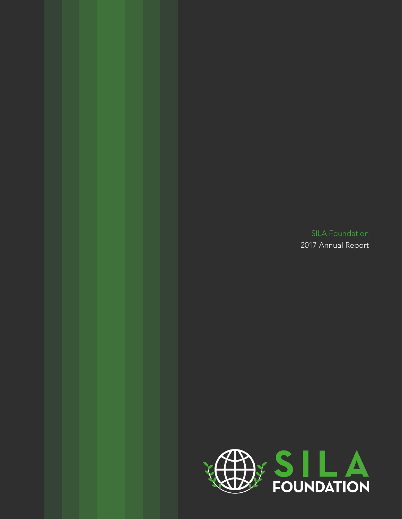2017 Annual Report

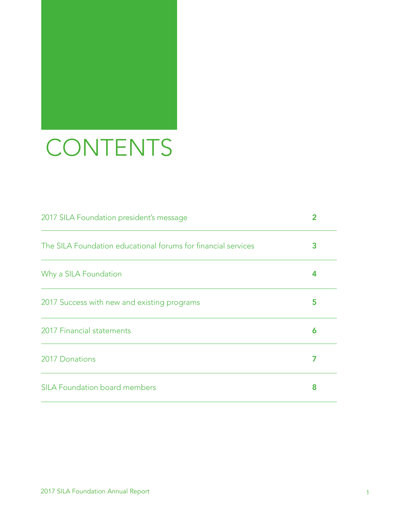## CONTENTS

| 2017 SILA Foundation president's message                      | 2 |
|---------------------------------------------------------------|---|
| The SILA Foundation educational forums for financial services | З |
| Why a SILA Foundation                                         |   |
| 2017 Success with new and existing programs                   | 5 |
| 2017 Financial statements                                     | 6 |
| 2017 Donations                                                |   |
| <b>SILA Foundation board members</b>                          | 8 |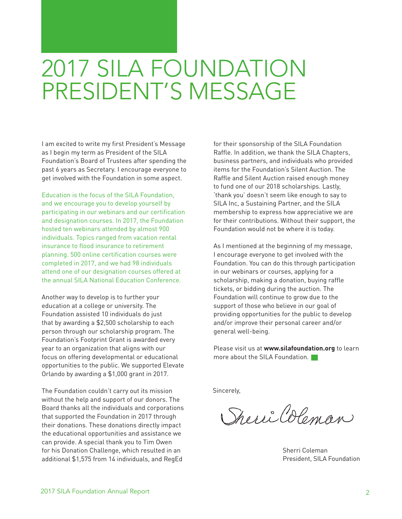## 2017 SILA FOUNDATION PRESIDENT'S MESSAGE

I am excited to write my first President's Message as I begin my term as President of the SILA Foundation's Board of Trustees after spending the past 6 years as Secretary. I encourage everyone to get involved with the Foundation in some aspect.

Education is the focus of the SILA Foundation, and we encourage you to develop yourself by participating in our webinars and our certification and designation courses. In 2017, the Foundation hosted ten webinars attended by almost 900 individuals. Topics ranged from vacation rental insurance to flood insurance to retirement planning. 500 online certification courses were completed in 2017, and we had 98 individuals attend one of our designation courses offered at the annual SILA National Education Conference.

Another way to develop is to further your education at a college or university. The Foundation assisted 10 individuals do just that by awarding a \$2,500 scholarship to each person through our scholarship program. The Foundation's Footprint Grant is awarded every year to an organization that aligns with our focus on offering developmental or educational opportunities to the public. We supported Elevate Orlando by awarding a \$1,000 grant in 2017.

The Foundation couldn't carry out its mission without the help and support of our donors. The Board thanks all the individuals and corporations that supported the Foundation in 2017 through their donations. These donations directly impact the educational opportunities and assistance we can provide. A special thank you to Tim Owen for his Donation Challenge, which resulted in an additional \$1,575 from 14 individuals, and RegEd

for their sponsorship of the SILA Foundation Raffle. In addition, we thank the SILA Chapters, business partners, and individuals who provided items for the Foundation's Silent Auction. The Raffle and Silent Auction raised enough money to fund one of our 2018 scholarships. Lastly, 'thank you' doesn't seem like enough to say to SILA Inc, a Sustaining Partner, and the SILA membership to express how appreciative we are for their contributions. Without their support, the Foundation would not be where it is today.

As I mentioned at the beginning of my message, I encourage everyone to get involved with the Foundation. You can do this through participation in our webinars or courses, applying for a scholarship, making a donation, buying raffle tickets, or bidding during the auction. The Foundation will continue to grow due to the support of those who believe in our goal of providing opportunities for the public to develop and/or improve their personal career and/or general well-being.

Please visit us at **[www.silafoundation.org](http://www.silafoundation.org)** to learn more about the SILA Foundation.

Sincerely,

Speri Coleman

Sherri Coleman President, SILA Foundation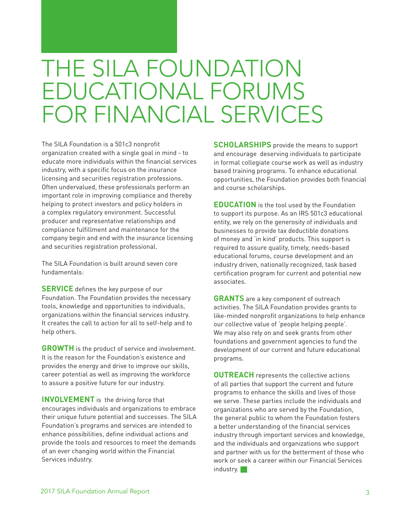## THE SILA FOUNDATION EDUCATIONAL FORUMS FOR FINANCIAL SERVICES

The SILA Foundation is a 501c3 nonprofit organization created with a single goal in mind - to educate more individuals within the financial services industry, with a specific focus on the insurance licensing and securities registration professions. Often undervalued, these professionals perform an important role in improving compliance and thereby helping to protect investors and policy holders in a complex regulatory environment. Successful producer and representative relationships and compliance fulfillment and maintenance for the company begin and end with the insurance licensing and securities registration professional.

The SILA Foundation is built around seven core fundamentals:

**SERVICE** defines the key purpose of our Foundation. The Foundation provides the necessary tools, knowledge and opportunities to individuals, organizations within the financial services industry. It creates the call to action for all to self-help and to help others.

**GROWTH** is the product of service and involvement. It is the reason for the Foundation's existence and provides the energy and drive to improve our skills, career potential as well as improving the workforce to assure a positive future for our industry.

**INVOLVEMENT** is the driving force that encourages individuals and organizations to embrace their unique future potential and successes. The SILA Foundation's programs and services are intended to enhance possibilities, define individual actions and provide the tools and resources to meet the demands of an ever changing world within the Financial Services industry.

**SCHOLARSHIPS** provide the means to support and encourage deserving individuals to participate in formal collegiate course work as well as industry based training programs. To enhance educational opportunities, the Foundation provides both financial and course scholarships.

**EDUCATION** is the tool used by the Foundation to support its purpose. As an IRS 501c3 educational entity, we rely on the generosity of individuals and businesses to provide tax deductible donations of money and 'in kind' products. This support is required to assure quality, timely, needs-based educational forums, course development and an industry driven, nationally recognized, task based certification program for current and potential new associates.

**GRANTS** are a key component of outreach activities. The SILA Foundation provides grants to like-minded nonprofit organizations to help enhance our collective value of 'people helping people'. We may also rely on and seek grants from other foundations and government agencies to fund the development of our current and future educational programs.

**OUTREACH** represents the collective actions of all parties that support the current and future programs to enhance the skills and lives of those we serve. These parties include the individuals and organizations who are served by the Foundation, the general public to whom the Foundation fosters a better understanding of the financial services industry through important services and knowledge, and the individuals and organizations who support and partner with us for the betterment of those who work or seek a career within our Financial Services industry.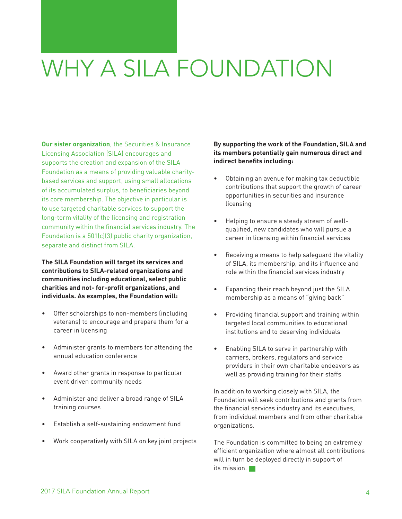## WHY A SILA FOUNDATION

**Our sister organization**, the Securities & Insurance Licensing Association (SILA) encourages and supports the creation and expansion of the SILA Foundation as a means of providing valuable charitybased services and support, using small allocations of its accumulated surplus, to beneficiaries beyond its core membership. The objective in particular is to use targeted charitable services to support the long-term vitality of the licensing and registration community within the financial services industry. The Foundation is a 501(c)(3) public charity organization, separate and distinct from SILA.

**The SILA Foundation will target its services and contributions to SILA-related organizations and communities including educational, select public charities and not- for-profit organizations, and individuals. As examples, the Foundation will:** 

- Offer scholarships to non-members (including veterans) to encourage and prepare them for a career in licensing
- Administer grants to members for attending the annual education conference
- Award other grants in response to particular event driven community needs
- Administer and deliver a broad range of SILA training courses
- Establish a self-sustaining endowment fund
- Work cooperatively with SILA on key joint projects

#### **By supporting the work of the Foundation, SILA and its members potentially gain numerous direct and indirect benefits including:**

- Obtaining an avenue for making tax deductible contributions that support the growth of career opportunities in securities and insurance licensing
- Helping to ensure a steady stream of wellqualified, new candidates who will pursue a career in licensing within financial services
- Receiving a means to help safeguard the vitality of SILA, its membership, and its influence and role within the financial services industry
- Expanding their reach beyond just the SILA membership as a means of "giving back"
- Providing financial support and training within targeted local communities to educational institutions and to deserving individuals
- Enabling SILA to serve in partnership with carriers, brokers, regulators and service providers in their own charitable endeavors as well as providing training for their staffs

In addition to working closely with SILA, the Foundation will seek contributions and grants from the financial services industry and its executives, from individual members and from other charitable organizations.

The Foundation is committed to being an extremely efficient organization where almost all contributions will in turn be deployed directly in support of its mission.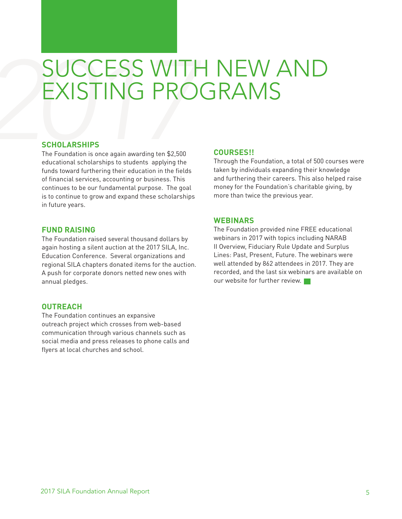## *2017* SUCCESS WITH NEW AND EXISTING PROGRAMS

#### **SCHOLARSHIPS**

The Foundation is once again awarding ten \$2,500 educational scholarships to students applying the funds toward furthering their education in the fields of financial services, accounting or business. This continues to be our fundamental purpose. The goal is to continue to grow and expand these scholarships in future years.

#### **FUND RAISING**

The Foundation raised several thousand dollars by again hosting a silent auction at the 2017 SILA, Inc. Education Conference. Several organizations and regional SILA chapters donated items for the auction. A push for corporate donors netted new ones with annual pledges.

#### **OUTREACH**

The Foundation continues an expansive outreach project which crosses from web-based communication through various channels such as social media and press releases to phone calls and flyers at local churches and school.

#### **COURSES!!**

Through the Foundation, a total of 500 courses were taken by individuals expanding their knowledge and furthering their careers. This also helped raise money for the Foundation's charitable giving, by more than twice the previous year.

#### **WEBINARS**

The Foundation provided nine FREE educational webinars in 2017 with topics including NARAB II Overview, Fiduciary Rule Update and Surplus Lines: Past, Present, Future. The webinars were well attended by 862 attendees in 2017. They are recorded, and the last six webinars are available on our website for further review.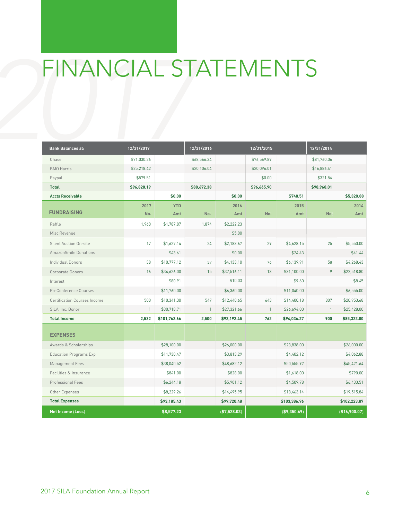# FINANCIAL ST FINANCIAL STATEMENTS

| <b>Bank Balances at:</b>            | 12/31/2017   |                   | 12/31/2016   |              | 12/31/2015   |               | 12/31/2014   |               |
|-------------------------------------|--------------|-------------------|--------------|--------------|--------------|---------------|--------------|---------------|
| Chase                               | \$71,030.26  |                   | \$68,566.34  |              | \$76,569.89  |               | \$81,760.06  |               |
| <b>BMO</b> Harris                   | \$25,218.42  |                   | \$20,106.04  |              | \$20,096.01  |               | \$16,886.41  |               |
| Paypal                              | \$579.51     |                   |              |              | \$0.00       |               | \$321.54     |               |
| <b>Total</b>                        | \$96,828.19  |                   | \$88,672.38  |              | \$96,665.90  |               | \$98,968.01  |               |
| <b>Accts Receivable</b>             |              | \$0.00            |              | \$0.00       |              | \$748.51      |              | \$5,320.88    |
| <b>FUNDRAISING</b>                  | 2017<br>No.  | <b>YTD</b><br>Amt | No.          | 2016<br>Amt  | No.          | 2015<br>Amt   | No.          | 2014<br>Amt   |
| Raffle                              | 1,960        | \$1,787.87        | 1,874        | \$2,222.23   |              |               |              |               |
| Misc Revenue                        |              |                   |              | \$5.00       |              |               |              |               |
| Silent Auction On-site              | 17           | \$1,627.14        | 24           | \$2,183.67   | 29           | \$4,628.15    | 25           | \$5,550.00    |
| AmazonSmile Donations               |              | \$43.61           |              | \$0.00       |              | \$24.43       |              | \$41.44       |
| <b>Individual Donors</b>            | 38           | \$10,777.12       | 39           | \$4,133.10   | 76           | \$6,139.91    | 58           | \$4,268.43    |
| Corporate Donors                    | 16           | \$34,626.00       | 15           | \$37,516.11  | 13           | \$31,100.00   | 9            | \$22,518.80   |
| Interest                            |              | \$80.91           |              | \$10.03      |              | \$9.60        |              | \$8.45        |
| PreConference Courses               |              | \$11,760.00       |              | \$6,360.00   |              | \$11,040.00   |              | \$6,555.00    |
| <b>Certification Courses Income</b> | 500          | \$10,341.30       | 547          | \$12,440.65  | 643          | \$14,400.18   | 807          | \$20,953.68   |
| SILA, Inc. Donor                    | $\mathbf{1}$ | \$30,718.71       | $\mathbf{1}$ | \$27,321.66  | $\mathbf{1}$ | \$26,694.00   | $\mathbf{1}$ | \$25,428.00   |
| <b>Total Income</b>                 | 2,532        | \$101,762.66      | 2,500        | \$92,192.45  | 762          | \$94,036.27   | 900          | \$85,323.80   |
| <b>EXPENSES</b>                     |              |                   |              |              |              |               |              |               |
| Awards & Scholarships               |              | \$28,100.00       |              | \$26,000.00  |              | \$23,838.00   |              | \$26,000.00   |
| <b>Education Programs Exp</b>       |              | \$11,730.47       |              | \$3,813.29   |              | \$4,402.12    |              | \$4,062.88    |
| Management Fees                     |              | \$38,040.52       |              | \$48,682.12  |              | \$50,555.92   |              | \$45,421.64   |
| Facilities & Insurance              |              | \$841.00          |              | \$828.00     |              | \$1,618.00    |              | \$790.00      |
| Professional Fees                   |              | \$6,244.18        |              | \$5,901.12   |              | \$4,509.78    |              | \$6,433.51    |
| Other Expenses                      |              | \$8,229.26        |              | \$14,495.95  |              | \$18,463.14   |              | \$19,515.84   |
| <b>Total Expenses</b>               |              | \$93,185.43       |              | \$99,720.48  |              | \$103,386.96  |              | \$102,223.87  |
| <b>Net Income (Loss)</b>            |              | \$8,577.23        |              | (\$7,528.03) |              | ( \$9,350.69) |              | (\$16,900.07) |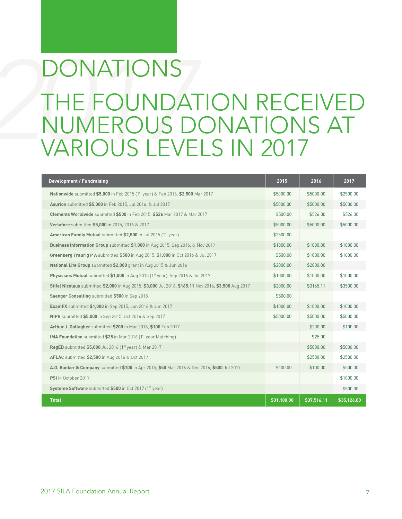## **2017**<br>**2017** THE FOUNDATION RECEIVED<br>NUMEROUS DONATIONS AT<br>VARIOUS LEVELS IN 2017 NUMEROUS DONATIONS AT VARIOUS LEVELS IN 2017 DONATIONS

| <b>Development / Fundraising</b>                                                                     | 2015        | 2016        | 2017        |
|------------------------------------------------------------------------------------------------------|-------------|-------------|-------------|
| <b>Nationwide</b> submitted \$5,000 in Feb 2015 (1 <sup>st</sup> year) & Feb 2016, \$2,500 Mar 2017  | \$5000.00   | \$5000.00   | \$2500.00   |
| Asurion submitted \$5,000 in Feb 2015, Jul 2016, & Jul 2017                                          | \$5000.00   | \$5000.00   | \$5000.00   |
| Clements Worldwide submitted \$500 in Feb 2015, \$526 Mar 2017 & Mar 2017                            | \$500.00    | \$526.00    | \$526.00    |
| Vertafore submitted \$5,000 in 2015, 2016 & 2017                                                     | \$5000.00   | \$5000.00   | \$5000.00   |
| American Family Mutual submitted \$2,500 in Jul 2015 (1 <sup>st</sup> year)                          | \$2500.00   |             |             |
| Business Information Group submitted \$1,000 in Aug 2015, Sep 2016, & Nov 2017                       | \$1000.00   | \$1000.00   | \$1000.00   |
| Greenberg Traurig P A submitted \$500 in Aug 2015, \$1,000 in Oct 2016 & Jul 2017                    | \$500.00    | \$1000.00   | \$1000.00   |
| National Life Group submitted \$2,000 grant in Aug 2015 & Jun 2016                                   | \$2000.00   | \$2000.00   |             |
| Physicians Mutual submitted \$1,000 in Aug 2015 (1 <sup>st</sup> year), Sep 2016 & Jul 2017          | \$1000.00   | \$1000.00   | \$1000.00   |
| Stifel Nicolaus submitted \$2,000 in Aug 2015, \$3,000 Jul 2016, \$165.11 Nov 2016, \$3,500 Aug 2017 | \$2000.00   | \$3165.11   | \$3500.00   |
| Saenger Consulting submitted \$500 in Sep 2015                                                       | \$500.00    |             |             |
| <b>ExamFX</b> submitted \$1,000 in Sep 2015, Jun 2016 & Jun 2017                                     | \$1000.00   | \$1000.00   | \$1000.00   |
| NIPR submitted \$5,000 in Sep 2015, Oct 2016 & Sep 2017                                              | \$5000.00   | \$5000.00   | \$5000.00   |
| Arthur J. Gallagher submitted \$200 in Mar 2016, \$100 Feb 2017                                      |             | \$200.00    | \$100.00    |
| <b>IMA Foundation</b> submitted \$25 in Mar 2016 (1 <sup>st</sup> year Matching)                     |             | \$25.00     |             |
| <b>RegED</b> submitted \$5,000 Jul 2016 (1 <sup>st</sup> year) & Mar 2017                            |             | \$5000.00   | \$5000.00   |
| AFLAC submitted \$2,500 in Aug 2016 & Oct 2017                                                       |             | \$2500.00   | \$2500.00   |
| A.D. Banker & Company submitted \$100 in Apr 2015, \$50 Mar 2016 & Dec 2016, \$500 Jul 2017          | \$100.00    | \$100.00    | \$500.00    |
| PSI in October 2017                                                                                  |             |             | \$1000.00   |
| Systeme Software submitted \$500 in Oct 2017 (1st year)                                              |             |             | \$500.00    |
| <b>Total</b>                                                                                         | \$31,100.00 | \$37,516.11 | \$35,126.00 |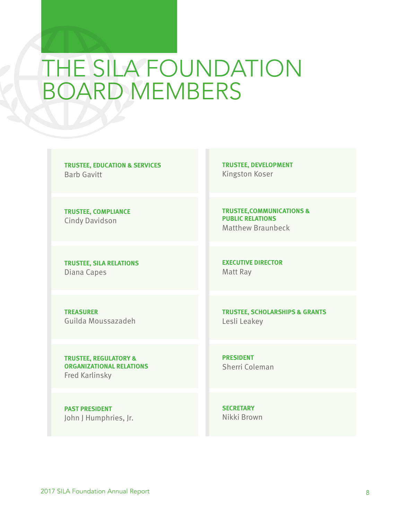## THE SILA FOUNDATION BOARD MEMBERS

**TRUSTEE, EDUCATION & SERVICES** Barb Gavitt

**TRUSTEE, COMPLIANCE** Cindy Davidson

**TRUSTEE, SILA RELATIONS** Diana Capes

**TRUSTEE, DEVELOPMENT** Kingston Koser

**TRUSTEE,COMMUNICATIONS & PUBLIC RELATIONS** Matthew Braunbeck

**EXECUTIVE DIRECTOR** Matt Ray

**TREASURER** Guilda Moussazadeh **TRUSTEE, SCHOLARSHIPS & GRANTS** Lesli Leakey

**TRUSTEE, REGULATORY & ORGANIZATIONAL RELATIONS** Fred Karlinsky

**PRESIDENT** Sherri Coleman

**PAST PRESIDENT** John J Humphries, Jr. **SECRETARY** Nikki Brown